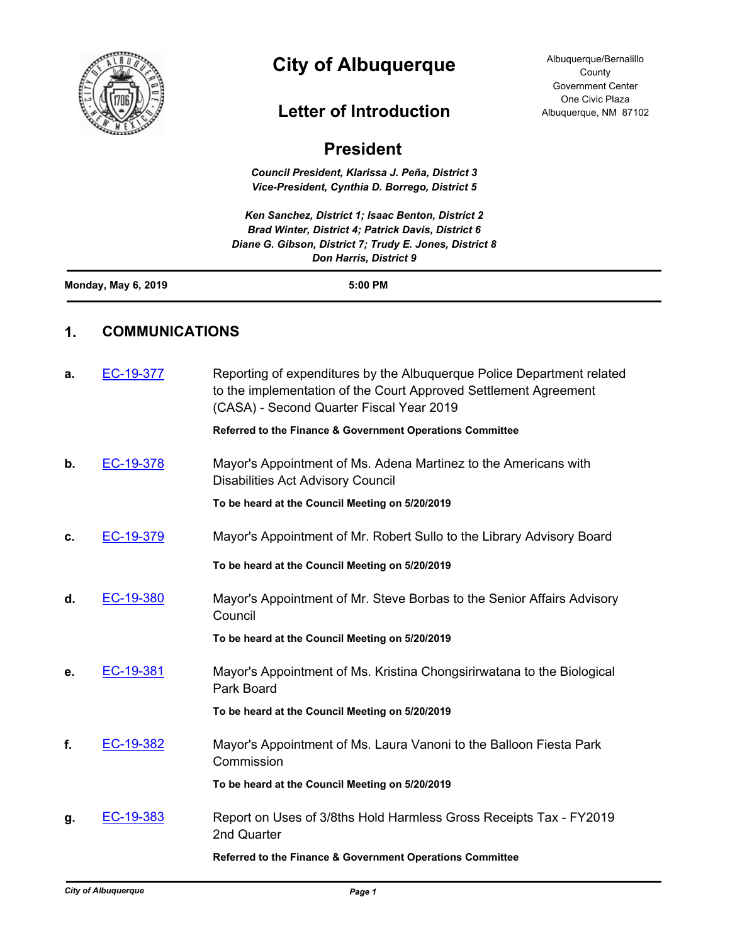

# **City of Albuquerque**

## **Letter of Introduction**

Albuquerque/Bernalillo **County** Government Center One Civic Plaza Albuquerque, NM 87102

| <b>President</b> |
|------------------|
|------------------|

*Council President, Klarissa J. Peña, District 3 Vice-President, Cynthia D. Borrego, District 5*

*Ken Sanchez, District 1; Isaac Benton, District 2 Brad Winter, District 4; Patrick Davis, District 6 Diane G. Gibson, District 7; Trudy E. Jones, District 8 Don Harris, District 9*

|--|

### **1. COMMUNICATIONS**

| a. | EC-19-377 | Reporting of expenditures by the Albuquerque Police Department related<br>to the implementation of the Court Approved Settlement Agreement<br>(CASA) - Second Quarter Fiscal Year 2019 |
|----|-----------|----------------------------------------------------------------------------------------------------------------------------------------------------------------------------------------|
|    |           | Referred to the Finance & Government Operations Committee                                                                                                                              |
| b. | EC-19-378 | Mayor's Appointment of Ms. Adena Martinez to the Americans with<br><b>Disabilities Act Advisory Council</b>                                                                            |
|    |           | To be heard at the Council Meeting on 5/20/2019                                                                                                                                        |
| C. | EC-19-379 | Mayor's Appointment of Mr. Robert Sullo to the Library Advisory Board                                                                                                                  |
|    |           | To be heard at the Council Meeting on 5/20/2019                                                                                                                                        |
| d. | EC-19-380 | Mayor's Appointment of Mr. Steve Borbas to the Senior Affairs Advisory<br>Council                                                                                                      |
|    |           | To be heard at the Council Meeting on 5/20/2019                                                                                                                                        |
| е. | EC-19-381 | Mayor's Appointment of Ms. Kristina Chongsirirwatana to the Biological<br>Park Board                                                                                                   |
|    |           | To be heard at the Council Meeting on 5/20/2019                                                                                                                                        |
| f. | EC-19-382 | Mayor's Appointment of Ms. Laura Vanoni to the Balloon Fiesta Park<br>Commission                                                                                                       |
|    |           | To be heard at the Council Meeting on 5/20/2019                                                                                                                                        |
| g. | EC-19-383 | Report on Uses of 3/8ths Hold Harmless Gross Receipts Tax - FY2019<br>2nd Quarter                                                                                                      |
|    |           | Referred to the Finance & Government Operations Committee                                                                                                                              |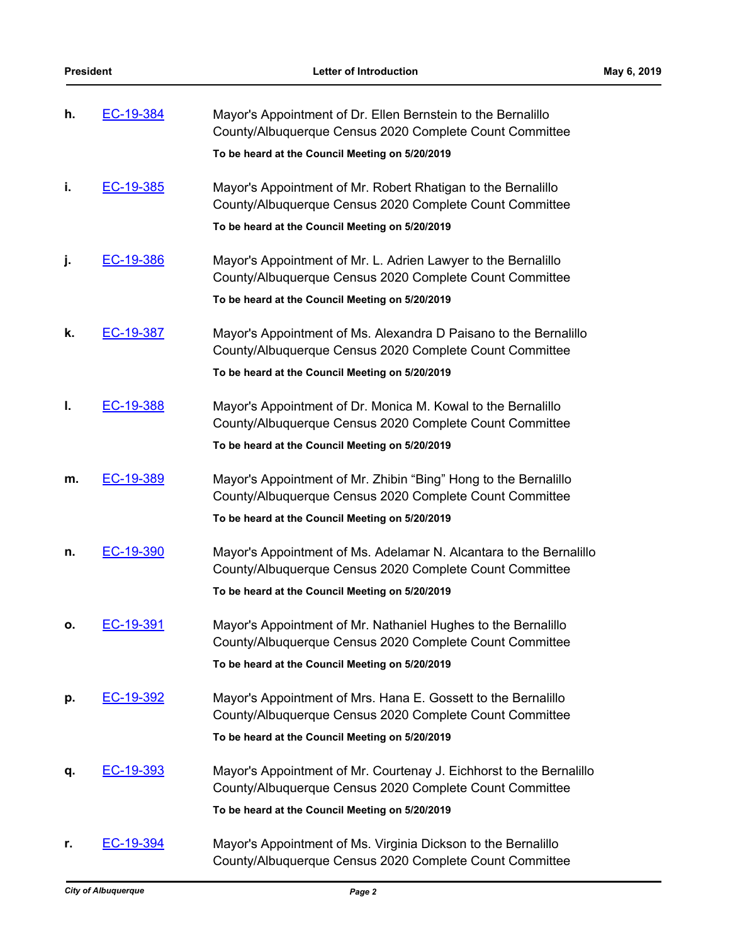| h. | EC-19-384 | Mayor's Appointment of Dr. Ellen Bernstein to the Bernalillo<br>County/Albuquerque Census 2020 Complete Count Committee        |
|----|-----------|--------------------------------------------------------------------------------------------------------------------------------|
|    |           | To be heard at the Council Meeting on 5/20/2019                                                                                |
| i. | EC-19-385 | Mayor's Appointment of Mr. Robert Rhatigan to the Bernalillo<br>County/Albuquerque Census 2020 Complete Count Committee        |
|    |           | To be heard at the Council Meeting on 5/20/2019                                                                                |
| j. | EC-19-386 | Mayor's Appointment of Mr. L. Adrien Lawyer to the Bernalillo<br>County/Albuquerque Census 2020 Complete Count Committee       |
|    |           | To be heard at the Council Meeting on 5/20/2019                                                                                |
| k. | EC-19-387 | Mayor's Appointment of Ms. Alexandra D Paisano to the Bernalillo<br>County/Albuquerque Census 2020 Complete Count Committee    |
|    |           | To be heard at the Council Meeting on 5/20/2019                                                                                |
| ı. | EC-19-388 | Mayor's Appointment of Dr. Monica M. Kowal to the Bernalillo<br>County/Albuquerque Census 2020 Complete Count Committee        |
|    |           | To be heard at the Council Meeting on 5/20/2019                                                                                |
| m. | EC-19-389 | Mayor's Appointment of Mr. Zhibin "Bing" Hong to the Bernalillo<br>County/Albuquerque Census 2020 Complete Count Committee     |
|    |           | To be heard at the Council Meeting on 5/20/2019                                                                                |
| n. | EC-19-390 | Mayor's Appointment of Ms. Adelamar N. Alcantara to the Bernalillo<br>County/Albuquerque Census 2020 Complete Count Committee  |
|    |           | To be heard at the Council Meeting on 5/20/2019                                                                                |
| ο. | EC-19-391 | Mayor's Appointment of Mr. Nathaniel Hughes to the Bernalillo<br>County/Albuquerque Census 2020 Complete Count Committee       |
|    |           | To be heard at the Council Meeting on 5/20/2019                                                                                |
| р. | EC-19-392 | Mayor's Appointment of Mrs. Hana E. Gossett to the Bernalillo<br>County/Albuquerque Census 2020 Complete Count Committee       |
|    |           | To be heard at the Council Meeting on 5/20/2019                                                                                |
| q. | EC-19-393 | Mayor's Appointment of Mr. Courtenay J. Eichhorst to the Bernalillo<br>County/Albuquerque Census 2020 Complete Count Committee |
|    |           | To be heard at the Council Meeting on 5/20/2019                                                                                |
| r. | EC-19-394 | Mayor's Appointment of Ms. Virginia Dickson to the Bernalillo<br>County/Albuquerque Census 2020 Complete Count Committee       |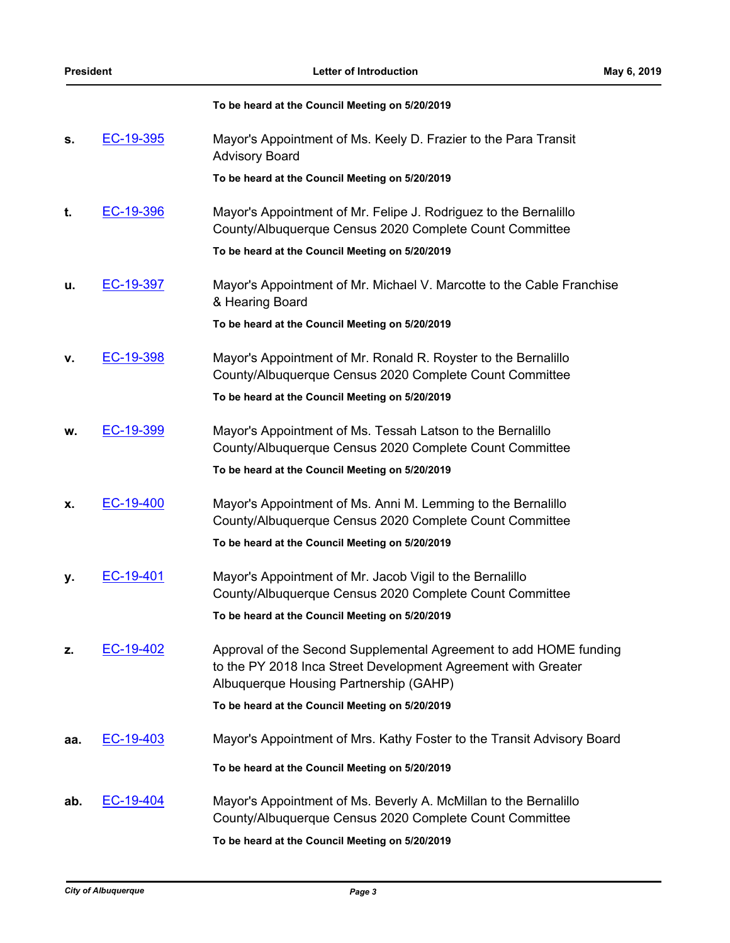|     |                  | To be heard at the Council Meeting on 5/20/2019                                                                                                                              |
|-----|------------------|------------------------------------------------------------------------------------------------------------------------------------------------------------------------------|
| s.  | EC-19-395        | Mayor's Appointment of Ms. Keely D. Frazier to the Para Transit<br><b>Advisory Board</b>                                                                                     |
|     |                  | To be heard at the Council Meeting on 5/20/2019                                                                                                                              |
| t.  | EC-19-396        | Mayor's Appointment of Mr. Felipe J. Rodriguez to the Bernalillo<br>County/Albuquerque Census 2020 Complete Count Committee                                                  |
|     |                  | To be heard at the Council Meeting on 5/20/2019                                                                                                                              |
| u.  | EC-19-397        | Mayor's Appointment of Mr. Michael V. Marcotte to the Cable Franchise<br>& Hearing Board                                                                                     |
|     |                  | To be heard at the Council Meeting on 5/20/2019                                                                                                                              |
| ۷.  | EC-19-398        | Mayor's Appointment of Mr. Ronald R. Royster to the Bernalillo<br>County/Albuquerque Census 2020 Complete Count Committee                                                    |
|     |                  | To be heard at the Council Meeting on 5/20/2019                                                                                                                              |
| w.  | EC-19-399        | Mayor's Appointment of Ms. Tessah Latson to the Bernalillo<br>County/Albuquerque Census 2020 Complete Count Committee                                                        |
|     |                  | To be heard at the Council Meeting on 5/20/2019                                                                                                                              |
| х.  | EC-19-400        | Mayor's Appointment of Ms. Anni M. Lemming to the Bernalillo<br>County/Albuquerque Census 2020 Complete Count Committee                                                      |
|     |                  | To be heard at the Council Meeting on 5/20/2019                                                                                                                              |
| у.  | EC-19-401        | Mayor's Appointment of Mr. Jacob Vigil to the Bernalillo<br>County/Albuquerque Census 2020 Complete Count Committee                                                          |
|     |                  | To be heard at the Council Meeting on 5/20/2019                                                                                                                              |
| z.  | EC-19-402        | Approval of the Second Supplemental Agreement to add HOME funding<br>to the PY 2018 Inca Street Development Agreement with Greater<br>Albuquerque Housing Partnership (GAHP) |
|     |                  | To be heard at the Council Meeting on 5/20/2019                                                                                                                              |
| aa. | EC-19-403        | Mayor's Appointment of Mrs. Kathy Foster to the Transit Advisory Board                                                                                                       |
|     |                  | To be heard at the Council Meeting on 5/20/2019                                                                                                                              |
| ab. | <u>EC-19-404</u> | Mayor's Appointment of Ms. Beverly A. McMillan to the Bernalillo<br>County/Albuquerque Census 2020 Complete Count Committee                                                  |
|     |                  | To be heard at the Council Meeting on 5/20/2019                                                                                                                              |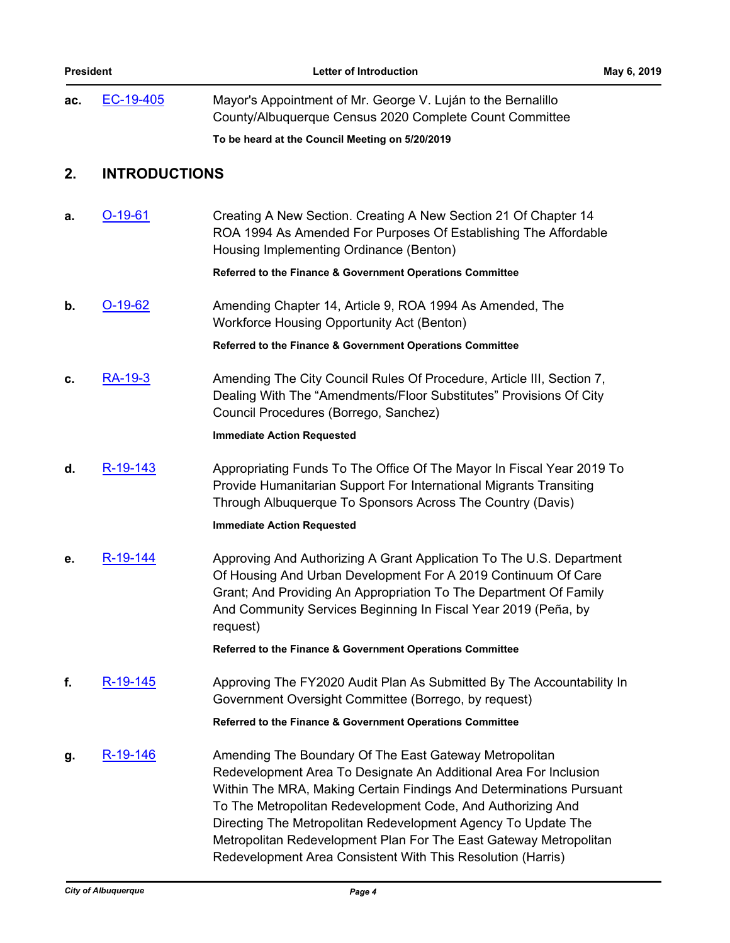| ac. | EC-19-405 | Mayor's Appointment of Mr. George V. Luján to the Bernalillo<br>County/Albuquerque Census 2020 Complete Count Committee |
|-----|-----------|-------------------------------------------------------------------------------------------------------------------------|
|     |           | To be heard at the Council Meeting on 5/20/2019                                                                         |

### **2. INTRODUCTIONS**

| а. | $O-19-61$ | Creating A New Section. Creating A New Section 21 Of Chapter 14<br>ROA 1994 As Amended For Purposes Of Establishing The Affordable<br>Housing Implementing Ordinance (Benton)                                                                                                                                                                                                                                                                                         |
|----|-----------|-----------------------------------------------------------------------------------------------------------------------------------------------------------------------------------------------------------------------------------------------------------------------------------------------------------------------------------------------------------------------------------------------------------------------------------------------------------------------|
|    |           | Referred to the Finance & Government Operations Committee                                                                                                                                                                                                                                                                                                                                                                                                             |
| b. | $O-19-62$ | Amending Chapter 14, Article 9, ROA 1994 As Amended, The<br><b>Workforce Housing Opportunity Act (Benton)</b>                                                                                                                                                                                                                                                                                                                                                         |
|    |           | Referred to the Finance & Government Operations Committee                                                                                                                                                                                                                                                                                                                                                                                                             |
| c. | RA-19-3   | Amending The City Council Rules Of Procedure, Article III, Section 7,<br>Dealing With The "Amendments/Floor Substitutes" Provisions Of City<br>Council Procedures (Borrego, Sanchez)                                                                                                                                                                                                                                                                                  |
|    |           | <b>Immediate Action Requested</b>                                                                                                                                                                                                                                                                                                                                                                                                                                     |
| d. | R-19-143  | Appropriating Funds To The Office Of The Mayor In Fiscal Year 2019 To<br>Provide Humanitarian Support For International Migrants Transiting<br>Through Albuquerque To Sponsors Across The Country (Davis)                                                                                                                                                                                                                                                             |
|    |           | <b>Immediate Action Requested</b>                                                                                                                                                                                                                                                                                                                                                                                                                                     |
| е. | R-19-144  | Approving And Authorizing A Grant Application To The U.S. Department<br>Of Housing And Urban Development For A 2019 Continuum Of Care<br>Grant; And Providing An Appropriation To The Department Of Family<br>And Community Services Beginning In Fiscal Year 2019 (Peña, by<br>request)                                                                                                                                                                              |
|    |           | Referred to the Finance & Government Operations Committee                                                                                                                                                                                                                                                                                                                                                                                                             |
| f. | R-19-145  | Approving The FY2020 Audit Plan As Submitted By The Accountability In<br>Government Oversight Committee (Borrego, by request)                                                                                                                                                                                                                                                                                                                                         |
|    |           | Referred to the Finance & Government Operations Committee                                                                                                                                                                                                                                                                                                                                                                                                             |
| g. | R-19-146  | Amending The Boundary Of The East Gateway Metropolitan<br>Redevelopment Area To Designate An Additional Area For Inclusion<br>Within The MRA, Making Certain Findings And Determinations Pursuant<br>To The Metropolitan Redevelopment Code, And Authorizing And<br>Directing The Metropolitan Redevelopment Agency To Update The<br>Metropolitan Redevelopment Plan For The East Gateway Metropolitan<br>Redevelopment Area Consistent With This Resolution (Harris) |